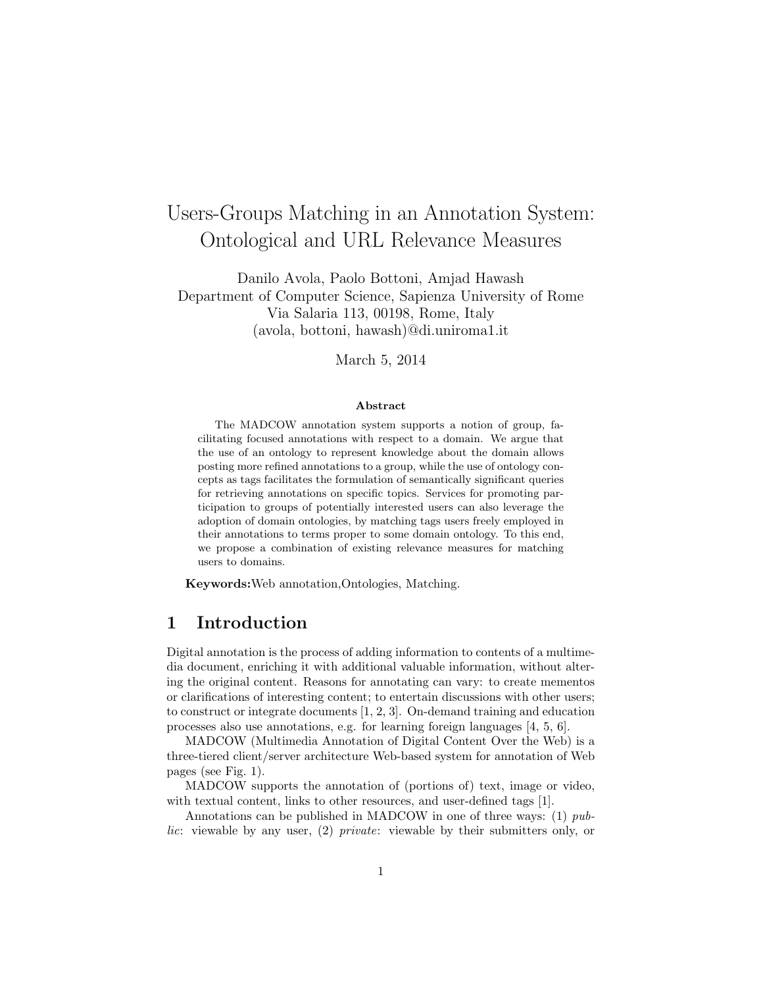# Users-Groups Matching in an Annotation System: Ontological and URL Relevance Measures

Danilo Avola, Paolo Bottoni, Amjad Hawash Department of Computer Science, Sapienza University of Rome Via Salaria 113, 00198, Rome, Italy (avola, bottoni, hawash)@di.uniroma1.it

March 5, 2014

### Abstract

The MADCOW annotation system supports a notion of group, facilitating focused annotations with respect to a domain. We argue that the use of an ontology to represent knowledge about the domain allows posting more refined annotations to a group, while the use of ontology concepts as tags facilitates the formulation of semantically significant queries for retrieving annotations on specific topics. Services for promoting participation to groups of potentially interested users can also leverage the adoption of domain ontologies, by matching tags users freely employed in their annotations to terms proper to some domain ontology. To this end, we propose a combination of existing relevance measures for matching users to domains.

Keywords:Web annotation,Ontologies, Matching.

## 1 Introduction

Digital annotation is the process of adding information to contents of a multimedia document, enriching it with additional valuable information, without altering the original content. Reasons for annotating can vary: to create mementos or clarifications of interesting content; to entertain discussions with other users; to construct or integrate documents [1, 2, 3]. On-demand training and education processes also use annotations, e.g. for learning foreign languages [4, 5, 6].

MADCOW (Multimedia Annotation of Digital Content Over the Web) is a three-tiered client/server architecture Web-based system for annotation of Web pages (see Fig. 1).

MADCOW supports the annotation of (portions of) text, image or video, with textual content, links to other resources, and user-defined tags [1].

Annotations can be published in MADCOW in one of three ways:  $(1)$  public: viewable by any user, (2) private: viewable by their submitters only, or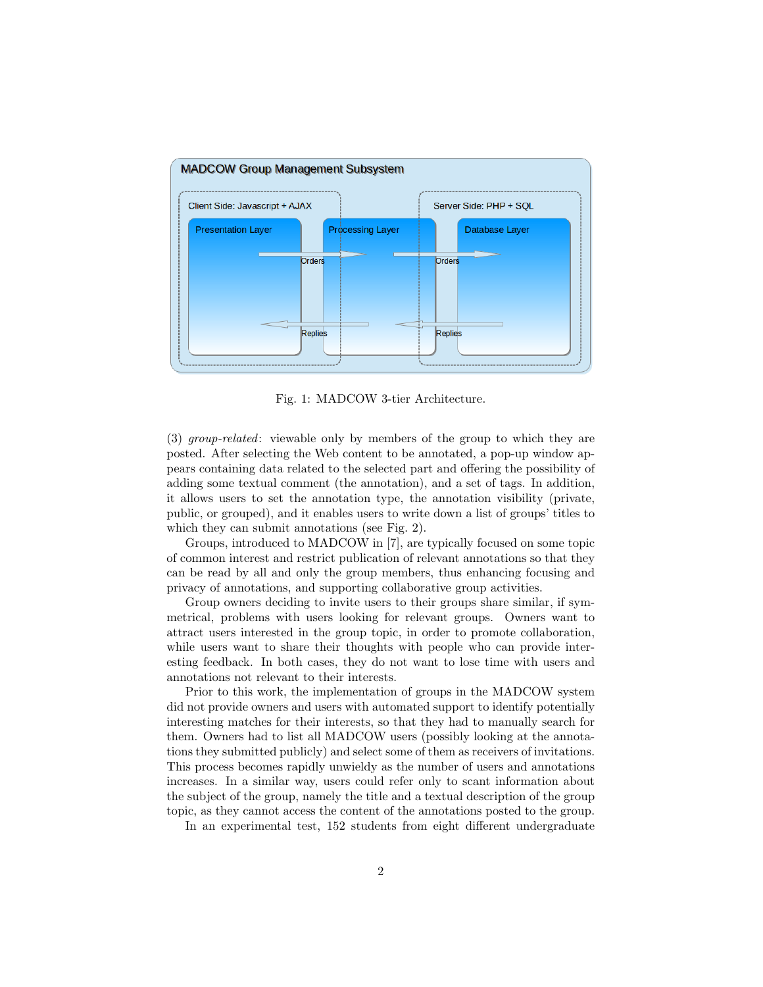

Fig. 1: MADCOW 3-tier Architecture.

(3) group-related: viewable only by members of the group to which they are posted. After selecting the Web content to be annotated, a pop-up window appears containing data related to the selected part and offering the possibility of adding some textual comment (the annotation), and a set of tags. In addition, it allows users to set the annotation type, the annotation visibility (private, public, or grouped), and it enables users to write down a list of groups' titles to which they can submit annotations (see Fig. 2).

Groups, introduced to MADCOW in [7], are typically focused on some topic of common interest and restrict publication of relevant annotations so that they can be read by all and only the group members, thus enhancing focusing and privacy of annotations, and supporting collaborative group activities.

Group owners deciding to invite users to their groups share similar, if symmetrical, problems with users looking for relevant groups. Owners want to attract users interested in the group topic, in order to promote collaboration, while users want to share their thoughts with people who can provide interesting feedback. In both cases, they do not want to lose time with users and annotations not relevant to their interests.

Prior to this work, the implementation of groups in the MADCOW system did not provide owners and users with automated support to identify potentially interesting matches for their interests, so that they had to manually search for them. Owners had to list all MADCOW users (possibly looking at the annotations they submitted publicly) and select some of them as receivers of invitations. This process becomes rapidly unwieldy as the number of users and annotations increases. In a similar way, users could refer only to scant information about the subject of the group, namely the title and a textual description of the group topic, as they cannot access the content of the annotations posted to the group.

In an experimental test, 152 students from eight different undergraduate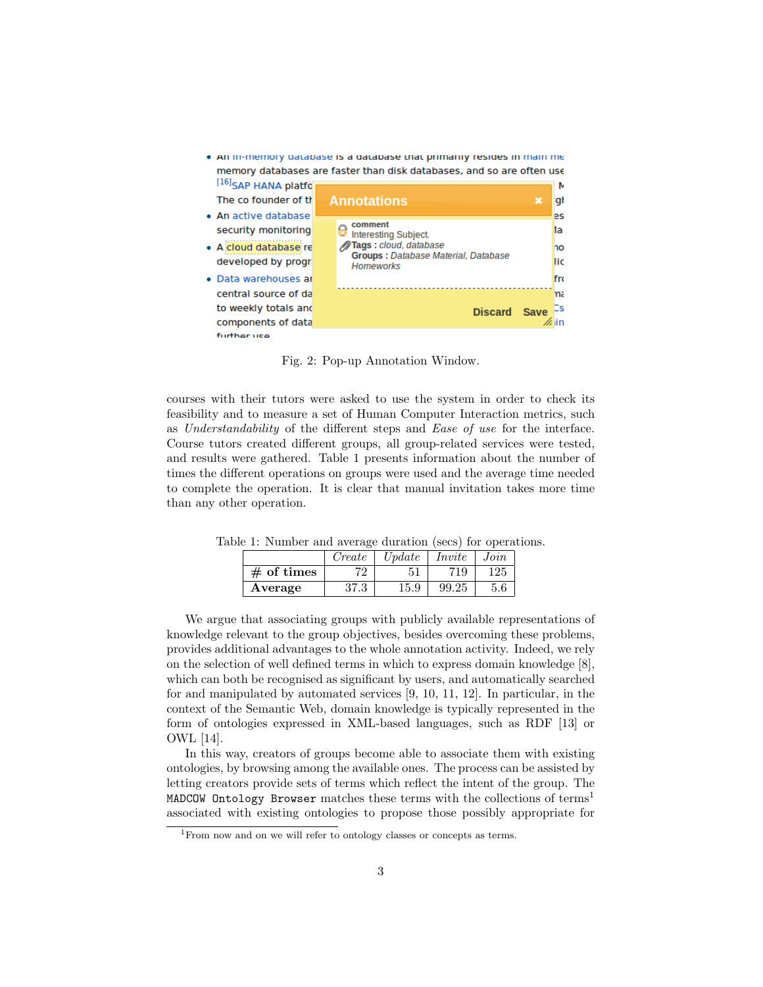

Fig. 2: Pop-up Annotation Window.

courses with their tutors were asked to use the system in order to check its feasibility and to measure a set of Human Computer Interaction metrics, such as Understandability of the different steps and Ease of use for the interface. Course tutors created different groups, all group-related services were tested, and results were gathered. Table 1 presents information about the number of times the different operations on groups were used and the average time needed to complete the operation. It is clear that manual invitation takes more time than any other operation.

|              | Create | Update | Invite | Join |
|--------------|--------|--------|--------|------|
| $#$ of times |        |        |        | 125  |
| Average      | 37.3   | 15.9   | 99.25  |      |

Table 1: Number and average duration (secs) for operations.

We argue that associating groups with publicly available representations of knowledge relevant to the group objectives, besides overcoming these problems, provides additional advantages to the whole annotation activity. Indeed, we rely on the selection of well defined terms in which to express domain knowledge [8], which can both be recognised as significant by users, and automatically searched for and manipulated by automated services [9, 10, 11, 12]. In particular, in the context of the Semantic Web, domain knowledge is typically represented in the form of ontologies expressed in XML-based languages, such as RDF [13] or OWL [14].

In this way, creators of groups become able to associate them with existing ontologies, by browsing among the available ones. The process can be assisted by letting creators provide sets of terms which reflect the intent of the group. The MADCOW Ontology Browser matches these terms with the collections of terms<sup>1</sup> associated with existing ontologies to propose those possibly appropriate for

 $^1\rm{From}$  now and on we will refer to ontology classes or concepts as terms.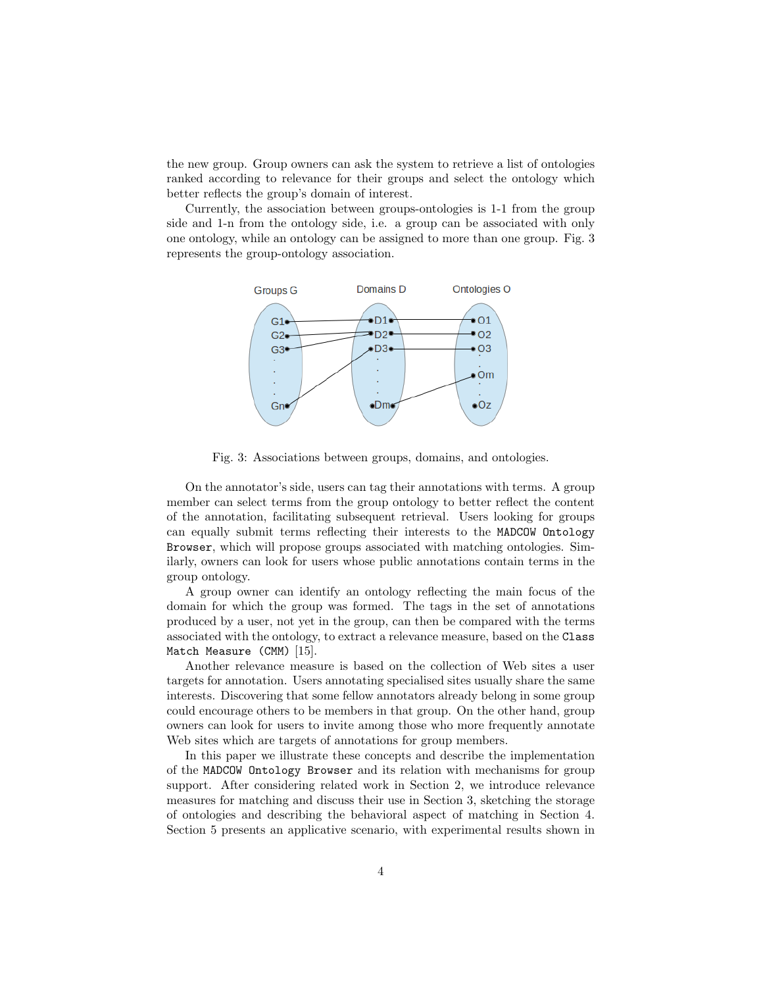the new group. Group owners can ask the system to retrieve a list of ontologies ranked according to relevance for their groups and select the ontology which better reflects the group's domain of interest.

Currently, the association between groups-ontologies is 1-1 from the group side and 1-n from the ontology side, i.e. a group can be associated with only one ontology, while an ontology can be assigned to more than one group. Fig. 3 represents the group-ontology association.



Fig. 3: Associations between groups, domains, and ontologies.

On the annotator's side, users can tag their annotations with terms. A group member can select terms from the group ontology to better reflect the content of the annotation, facilitating subsequent retrieval. Users looking for groups can equally submit terms reflecting their interests to the MADCOW Ontology Browser, which will propose groups associated with matching ontologies. Similarly, owners can look for users whose public annotations contain terms in the group ontology.

A group owner can identify an ontology reflecting the main focus of the domain for which the group was formed. The tags in the set of annotations produced by a user, not yet in the group, can then be compared with the terms associated with the ontology, to extract a relevance measure, based on the Class Match Measure (CMM) [15].

Another relevance measure is based on the collection of Web sites a user targets for annotation. Users annotating specialised sites usually share the same interests. Discovering that some fellow annotators already belong in some group could encourage others to be members in that group. On the other hand, group owners can look for users to invite among those who more frequently annotate Web sites which are targets of annotations for group members.

In this paper we illustrate these concepts and describe the implementation of the MADCOW Ontology Browser and its relation with mechanisms for group support. After considering related work in Section 2, we introduce relevance measures for matching and discuss their use in Section 3, sketching the storage of ontologies and describing the behavioral aspect of matching in Section 4. Section 5 presents an applicative scenario, with experimental results shown in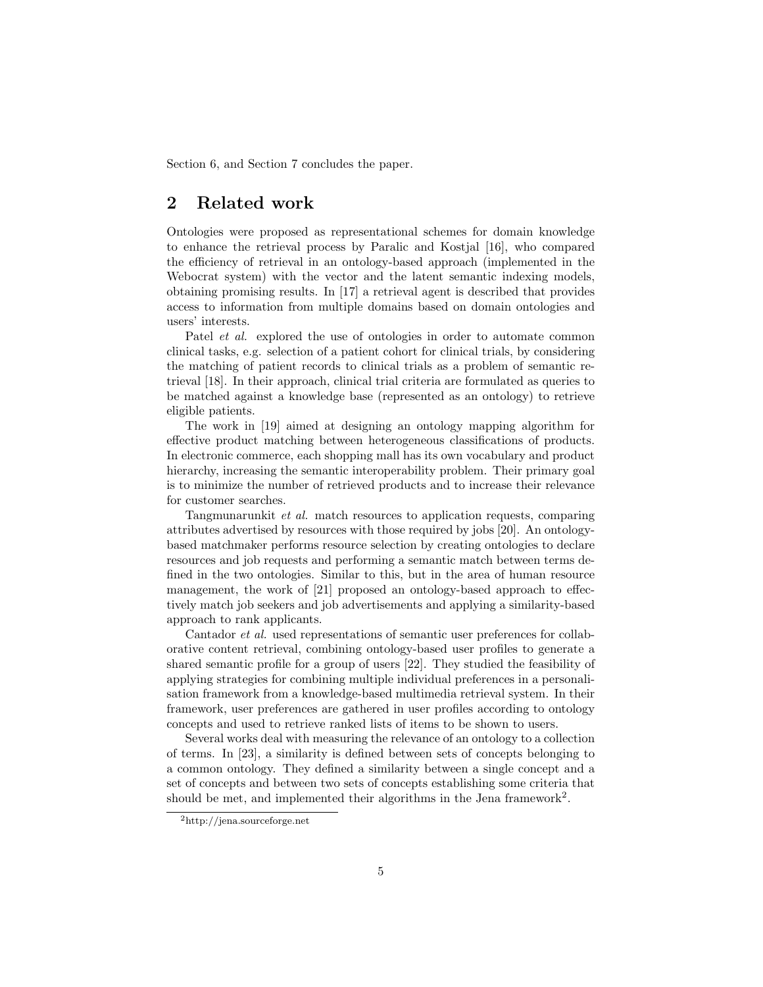Section 6, and Section 7 concludes the paper.

## 2 Related work

Ontologies were proposed as representational schemes for domain knowledge to enhance the retrieval process by Paralic and Kostjal [16], who compared the efficiency of retrieval in an ontology-based approach (implemented in the Webocrat system) with the vector and the latent semantic indexing models, obtaining promising results. In [17] a retrieval agent is described that provides access to information from multiple domains based on domain ontologies and users' interests.

Patel *et al.* explored the use of ontologies in order to automate common clinical tasks, e.g. selection of a patient cohort for clinical trials, by considering the matching of patient records to clinical trials as a problem of semantic retrieval [18]. In their approach, clinical trial criteria are formulated as queries to be matched against a knowledge base (represented as an ontology) to retrieve eligible patients.

The work in [19] aimed at designing an ontology mapping algorithm for effective product matching between heterogeneous classifications of products. In electronic commerce, each shopping mall has its own vocabulary and product hierarchy, increasing the semantic interoperability problem. Their primary goal is to minimize the number of retrieved products and to increase their relevance for customer searches.

Tangmunarunkit et al. match resources to application requests, comparing attributes advertised by resources with those required by jobs [20]. An ontologybased matchmaker performs resource selection by creating ontologies to declare resources and job requests and performing a semantic match between terms defined in the two ontologies. Similar to this, but in the area of human resource management, the work of [21] proposed an ontology-based approach to effectively match job seekers and job advertisements and applying a similarity-based approach to rank applicants.

Cantador et al. used representations of semantic user preferences for collaborative content retrieval, combining ontology-based user profiles to generate a shared semantic profile for a group of users [22]. They studied the feasibility of applying strategies for combining multiple individual preferences in a personalisation framework from a knowledge-based multimedia retrieval system. In their framework, user preferences are gathered in user profiles according to ontology concepts and used to retrieve ranked lists of items to be shown to users.

Several works deal with measuring the relevance of an ontology to a collection of terms. In [23], a similarity is defined between sets of concepts belonging to a common ontology. They defined a similarity between a single concept and a set of concepts and between two sets of concepts establishing some criteria that should be met, and implemented their algorithms in the Jena framework<sup>2</sup>.

<sup>2</sup>http://jena.sourceforge.net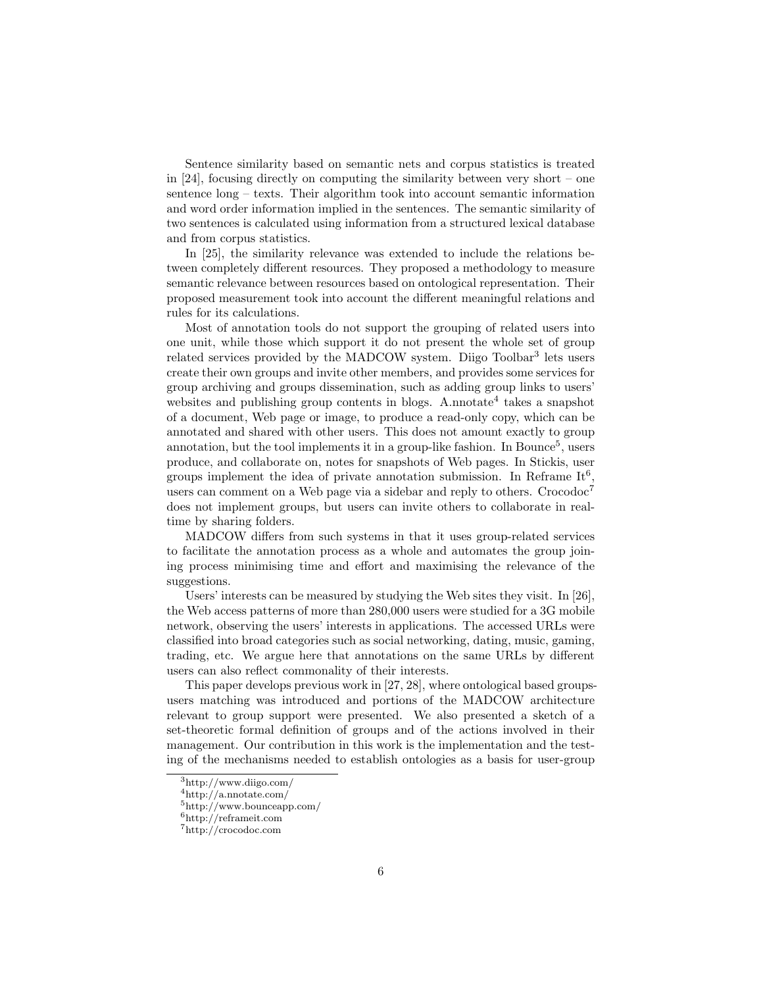Sentence similarity based on semantic nets and corpus statistics is treated in [24], focusing directly on computing the similarity between very short – one sentence long – texts. Their algorithm took into account semantic information and word order information implied in the sentences. The semantic similarity of two sentences is calculated using information from a structured lexical database and from corpus statistics.

In [25], the similarity relevance was extended to include the relations between completely different resources. They proposed a methodology to measure semantic relevance between resources based on ontological representation. Their proposed measurement took into account the different meaningful relations and rules for its calculations.

Most of annotation tools do not support the grouping of related users into one unit, while those which support it do not present the whole set of group related services provided by the MADCOW system. Diigo Toolbar<sup>3</sup> lets users create their own groups and invite other members, and provides some services for group archiving and groups dissemination, such as adding group links to users' websites and publishing group contents in blogs. A.nnotate<sup>4</sup> takes a snapshot of a document, Web page or image, to produce a read-only copy, which can be annotated and shared with other users. This does not amount exactly to group annotation, but the tool implements it in a group-like fashion. In Bounce<sup>5</sup>, users produce, and collaborate on, notes for snapshots of Web pages. In Stickis, user groups implement the idea of private annotation submission. In Reframe  $It^6$ , users can comment on a Web page via a sidebar and reply to others.  $C$ rocodoc<sup>7</sup> does not implement groups, but users can invite others to collaborate in realtime by sharing folders.

MADCOW differs from such systems in that it uses group-related services to facilitate the annotation process as a whole and automates the group joining process minimising time and effort and maximising the relevance of the suggestions.

Users' interests can be measured by studying the Web sites they visit. In [26], the Web access patterns of more than 280,000 users were studied for a 3G mobile network, observing the users' interests in applications. The accessed URLs were classified into broad categories such as social networking, dating, music, gaming, trading, etc. We argue here that annotations on the same URLs by different users can also reflect commonality of their interests.

This paper develops previous work in [27, 28], where ontological based groupsusers matching was introduced and portions of the MADCOW architecture relevant to group support were presented. We also presented a sketch of a set-theoretic formal definition of groups and of the actions involved in their management. Our contribution in this work is the implementation and the testing of the mechanisms needed to establish ontologies as a basis for user-group

<sup>3</sup>http://www.diigo.com/

<sup>4</sup>http://a.nnotate.com/

<sup>5</sup>http://www.bounceapp.com/

<sup>6</sup>http://reframeit.com

<sup>7</sup>http://crocodoc.com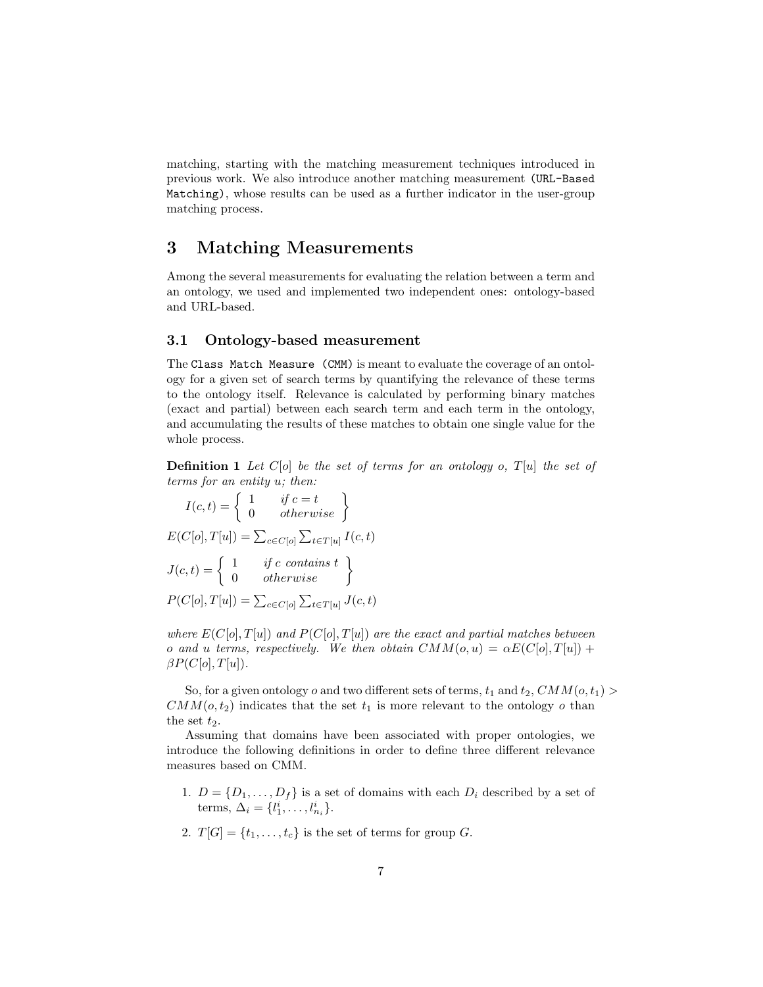matching, starting with the matching measurement techniques introduced in previous work. We also introduce another matching measurement (URL-Based Matching), whose results can be used as a further indicator in the user-group matching process.

## 3 Matching Measurements

Among the several measurements for evaluating the relation between a term and an ontology, we used and implemented two independent ones: ontology-based and URL-based.

### 3.1 Ontology-based measurement

The Class Match Measure (CMM) is meant to evaluate the coverage of an ontology for a given set of search terms by quantifying the relevance of these terms to the ontology itself. Relevance is calculated by performing binary matches (exact and partial) between each search term and each term in the ontology, and accumulating the results of these matches to obtain one single value for the whole process.

**Definition 1** Let  $C[\textbf{0}]$  be the set of terms for an ontology o,  $T[u]$  the set of terms for an entity u; then:

$$
I(c,t) = \begin{cases} 1 & if \ c = t \\ 0 & otherwise \end{cases}
$$

$$
E(C[o], T[u]) = \sum_{c \in C[o]} \sum_{t \in T[u]} I(c,t)
$$

$$
J(c,t) = \begin{cases} 1 & if \ c \ contains \ t \\ 0 & otherwise \end{cases}
$$

$$
P(C[o], T[u]) = \sum_{c \in C[o]} \sum_{t \in T[u]} J(c,t)
$$

where  $E(C[o], T[u])$  and  $P(C[o], T[u])$  are the exact and partial matches between o and u terms, respectively. We then obtain  $CMM(o, u) = \alpha E(C[o], T[u]) +$  $\beta P(C[o], T[u])$ .

So, for a given ontology o and two different sets of terms,  $t_1$  and  $t_2$ ,  $CMM(o, t_1)$  $CMM(o, t_2)$  indicates that the set  $t_1$  is more relevant to the ontology o than the set  $t_2$ .

Assuming that domains have been associated with proper ontologies, we introduce the following definitions in order to define three different relevance measures based on CMM.

- 1.  $D = \{D_1, \ldots, D_f\}$  is a set of domains with each  $D_i$  described by a set of terms,  $\Delta_i = \{l_1^i, \ldots, l_{n_i}^i\}.$
- 2.  $T[G] = \{t_1, \ldots, t_c\}$  is the set of terms for group G.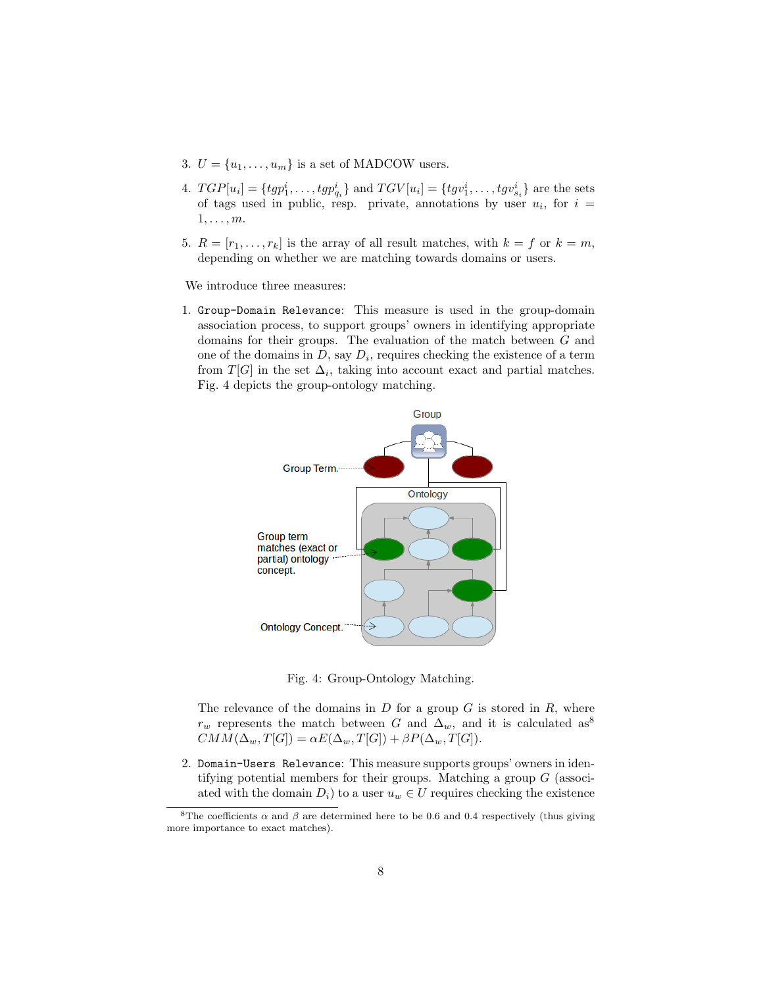- 3.  $U = \{u_1, \ldots, u_m\}$  is a set of MADCOW users.
- 4.  $TGP[u_i] = \{tgp_1^i, \ldots, tgp_{q_i}^i\}$  and  $TGV[u_i] = \{tgv_1^i, \ldots, tgv_{s_i}^i\}$  are the sets of tags used in public, resp. private, annotations by user  $u_i$ , for  $i =$  $1, \ldots, m$ .
- 5.  $R = [r_1, \ldots, r_k]$  is the array of all result matches, with  $k = f$  or  $k = m$ , depending on whether we are matching towards domains or users.

We introduce three measures:

1. Group-Domain Relevance: This measure is used in the group-domain association process, to support groups' owners in identifying appropriate domains for their groups. The evaluation of the match between G and one of the domains in  $D$ , say  $D_i$ , requires checking the existence of a term from  $T[G]$  in the set  $\Delta_i$ , taking into account exact and partial matches. Fig. 4 depicts the group-ontology matching.



Fig. 4: Group-Ontology Matching.

The relevance of the domains in  $D$  for a group  $G$  is stored in  $R$ , where  $r_w$  represents the match between G and  $\Delta_w$ , and it is calculated as<sup>8</sup>  $CMM(\Delta_w, T[G]) = \alpha E(\Delta_w, T[G]) + \beta P(\Delta_w, T[G]).$ 

2. Domain-Users Relevance: This measure supports groups' owners in identifying potential members for their groups. Matching a group  $G$  (associated with the domain  $D_i$ ) to a user  $u_w \in U$  requires checking the existence

<sup>&</sup>lt;sup>8</sup>The coefficients  $\alpha$  and  $\beta$  are determined here to be 0.6 and 0.4 respectively (thus giving more importance to exact matches).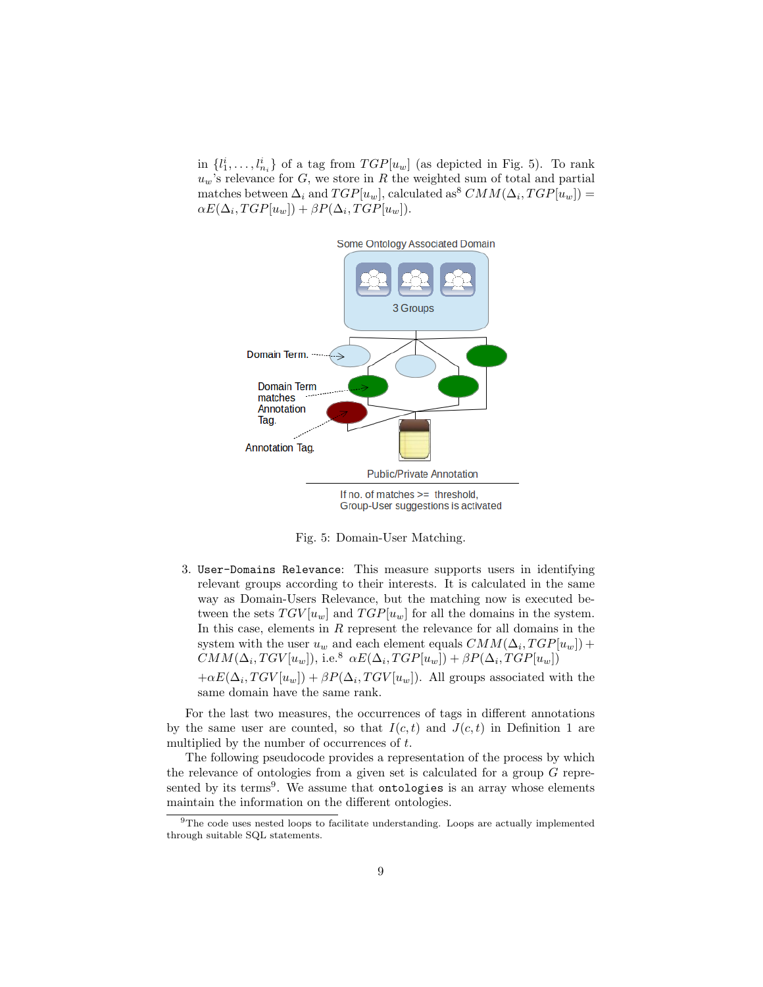in  $\{l_1^i, \ldots, l_{n_i}^i\}$  of a tag from  $TGP[u_w]$  (as depicted in Fig. 5). To rank  $u_w$ 's relevance for G, we store in R the weighted sum of total and partial matches between  $\Delta_i$  and  $TGP[u_w]$ , calculated as<sup>8</sup>  $CMM(\Delta_i, TGP[u_w]) =$  $\alpha E(\Delta_i, TGP[u_w]) + \beta P(\Delta_i, TGP[u_w]).$ 



Group-User suggestions is activated

Fig. 5: Domain-User Matching.

3. User-Domains Relevance: This measure supports users in identifying relevant groups according to their interests. It is calculated in the same way as Domain-Users Relevance, but the matching now is executed between the sets  $TGV[u_w]$  and  $TGP[u_w]$  for all the domains in the system. In this case, elements in  $R$  represent the relevance for all domains in the system with the user  $u_w$  and each element equals  $CMM(\Delta_i, TGP[u_w]) +$  $CMM(\Delta_i, TGV[u_w]), i.e.^8 \alpha E(\Delta_i, TGP[u_w]) + \beta P(\Delta_i, TGP[u_w])$ 

 $+\alpha E(\Delta_i, TGV[u_w]) + \beta P(\Delta_i, TGV[u_w])$ . All groups associated with the same domain have the same rank.

For the last two measures, the occurrences of tags in different annotations by the same user are counted, so that  $I(c, t)$  and  $J(c, t)$  in Definition 1 are multiplied by the number of occurrences of t.

The following pseudocode provides a representation of the process by which the relevance of ontologies from a given set is calculated for a group G represented by its terms<sup>9</sup>. We assume that ontologies is an array whose elements maintain the information on the different ontologies.

<sup>&</sup>lt;sup>9</sup>The code uses nested loops to facilitate understanding. Loops are actually implemented through suitable SQL statements.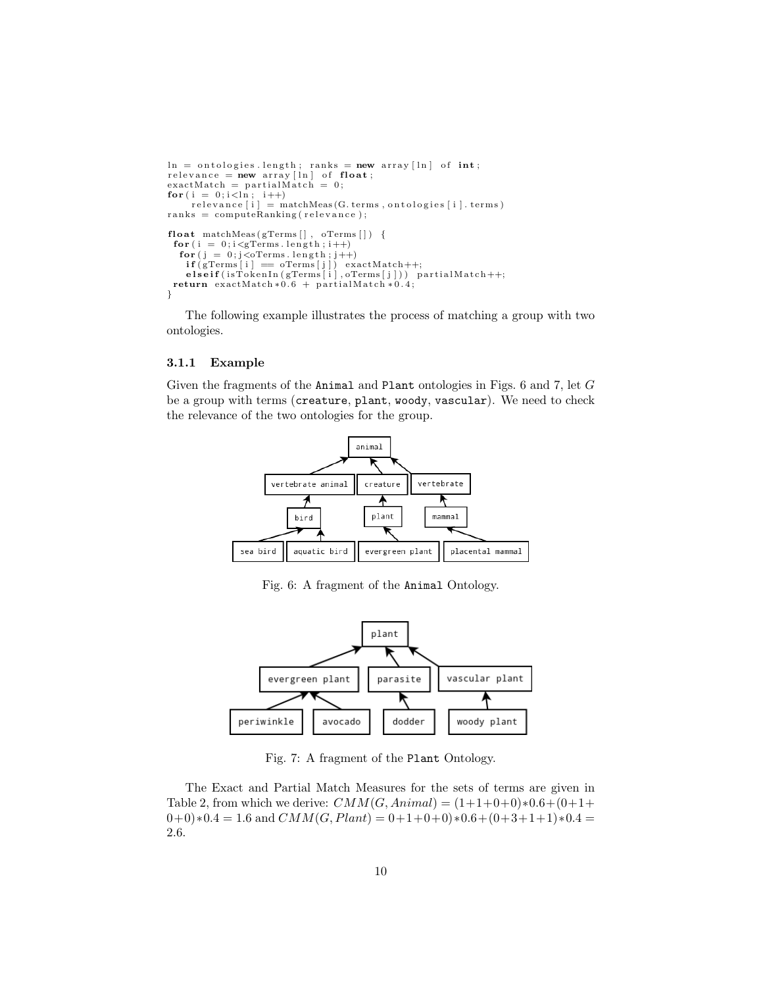```
\ln = ontologies.length; ranks = new array[ln] of \text{int};<br>relevance = new array[ln] of \text{float};\text{exactMatch} = \text{partialMatch} = 0;\textbf{for} \, ( \, i \, = \, 0 \, ; i {<} \ln \, ; \, i {+} \} \ \textbf{relevance} \, [ \, i \, ] \, = \, \texttt{matchMeas} \, ( \texttt{G. terms , ontologies} \, [ \, i \, ] \, . \, \texttt{terms} \, )ranks = computeRanking (relevance);float matchMeas(gTerms[], oTerms[]) {
  \mathbf{for} \, (i = 0; i \leq T \, \text{terms} \, . \, \text{length} \, ; i++) \ \mathbf{for} \, (j = 0; j \leq T \, \text{terms} \, . \, \text{length} \, ; j++)\begin{aligned} \textbf{if (} \text{gTerms}[i] &= \text{oTerms}[j] ) \text{ exactMatch++;} \ \textbf{elseif (} \text{isTokenIn(} \text{gTerms}[i], \text{oTerms}[j] ) ) \text{ partialMatch++;} \ \textbf{return} \text{ exactMatch} &= \text{0.6 + partialMatch+0.4;} \end{aligned}}
```
The following example illustrates the process of matching a group with two ontologies.

### 3.1.1 Example

Given the fragments of the Animal and Plant ontologies in Figs. 6 and 7, let G be a group with terms (creature, plant, woody, vascular). We need to check the relevance of the two ontologies for the group.



Fig. 6: A fragment of the Animal Ontology.



Fig. 7: A fragment of the Plant Ontology.

The Exact and Partial Match Measures for the sets of terms are given in Table 2, from which we derive:  $CMM(G, Animal) = (1+1+0+0)*0.6+(0+1+$  $(0+0)*0.4 = 1.6$  and  $CMM(G, Plant) = 0+1+0+0)*0.6+(0+3+1+1)*0.4 =$ 2.6.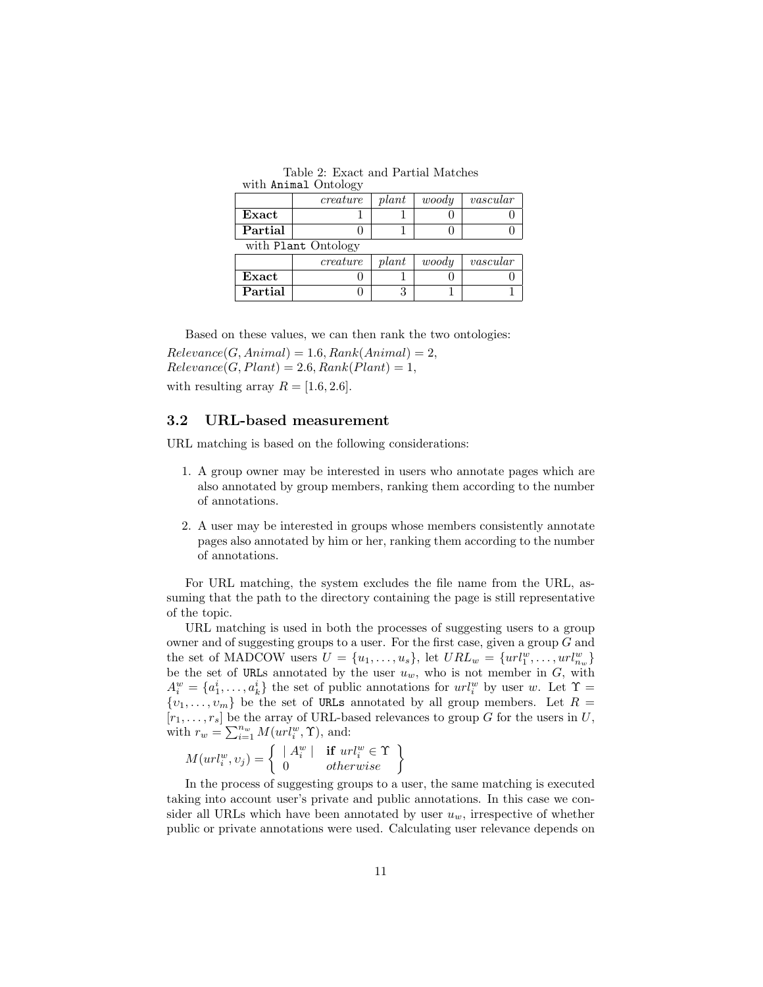|             | $\cdots$            |       |       |          |  |  |  |
|-------------|---------------------|-------|-------|----------|--|--|--|
|             | createure           | plant | woody | vascular |  |  |  |
| Exact       |                     |       |       |          |  |  |  |
| Partial     |                     |       |       |          |  |  |  |
|             | with Plant Ontology |       |       |          |  |  |  |
|             | $create =$          | plant | woodu | vascular |  |  |  |
| $\rm Exact$ |                     |       |       |          |  |  |  |
| Partial     |                     |       |       |          |  |  |  |

Table 2: Exact and Partial Matches with Animal Ontology

Based on these values, we can then rank the two ontologies:

 $Relevance(G, Animal) = 1.6, Rank(Animal) = 2,$  $Relevance(G, Plant) = 2.6, Rank(Plant) = 1,$ with resulting array  $R = [1.6, 2.6]$ .

### 3.2 URL-based measurement

URL matching is based on the following considerations:

- 1. A group owner may be interested in users who annotate pages which are also annotated by group members, ranking them according to the number of annotations.
- 2. A user may be interested in groups whose members consistently annotate pages also annotated by him or her, ranking them according to the number of annotations.

For URL matching, the system excludes the file name from the URL, assuming that the path to the directory containing the page is still representative of the topic.

URL matching is used in both the processes of suggesting users to a group owner and of suggesting groups to a user. For the first case, given a group G and the set of MADCOW users  $U = \{u_1, \ldots, u_s\}$ , let  $URL_w = \{url_1^w, \ldots, url_{n_w}^w\}$ be the set of URLs annotated by the user  $u_w$ , who is not member in G, with  $A_i^w = \{a_1^i, \ldots, a_k^i\}$  the set of public annotations for  $url_i^w$  by user w. Let  $\Upsilon =$  $\{v_1, \ldots, v_m\}$  be the set of URLs annotated by all group members. Let  $R =$  $[r_1, \ldots, r_s]$  be the array of URL-based relevances to group G for the users in U, with  $r_w = \sum_{i=1}^{n_w} M(wrl_i^w, \Upsilon)$ , and:

$$
M(url_i^w, v_j) = \left\{ \begin{array}{ll} |A_i^w| & \textbf{if} \; url_i^w \in \Upsilon \\ 0 & otherwise \end{array} \right\}
$$

In the process of suggesting groups to a user, the same matching is executed taking into account user's private and public annotations. In this case we consider all URLs which have been annotated by user  $u_w$ , irrespective of whether public or private annotations were used. Calculating user relevance depends on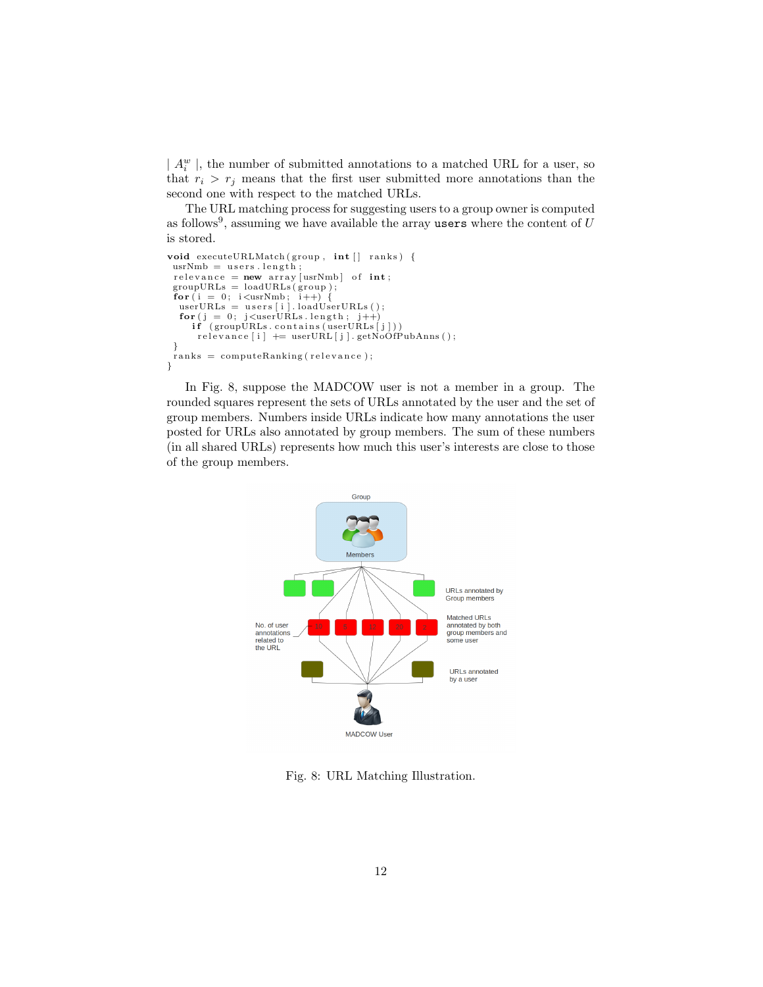$\mid A_i^w \mid,$  the number of submitted annotations to a matched URL for a user, so that  $r_i > r_j$  means that the first user submitted more annotations than the second one with respect to the matched URLs.

The URL matching process for suggesting users to a group owner is computed as follows<sup>9</sup>, assuming we have available the array users where the content of  $U$ is stored.

```
void executeURLMatch (group, int [] ranks) {
usrNmb = users.length;relevance = new array [usrNmb] of int;groupURLs = loadURLs(group);<br>for(i = 0; i<usrNmb; i++) {<br>userURLs = users[i].loadUserURLs();
   \textbf{for} \, ( \, j = 0; \, \, j < \text{userURLs }.\, \text{length}; \, \, j++)\ \textbf{if} \, \, \, (\text{groupURLs }.\, \text{contains } (\text{userURLs }[\, j \, ]\,))relevance[i] += user \nURL[j].get \nNoOFubAnns();}
 ranks = computeRanking (relevance);}
```
In Fig. 8, suppose the MADCOW user is not a member in a group. The rounded squares represent the sets of URLs annotated by the user and the set of group members. Numbers inside URLs indicate how many annotations the user posted for URLs also annotated by group members. The sum of these numbers (in all shared URLs) represents how much this user's interests are close to those of the group members.



Fig. 8: URL Matching Illustration.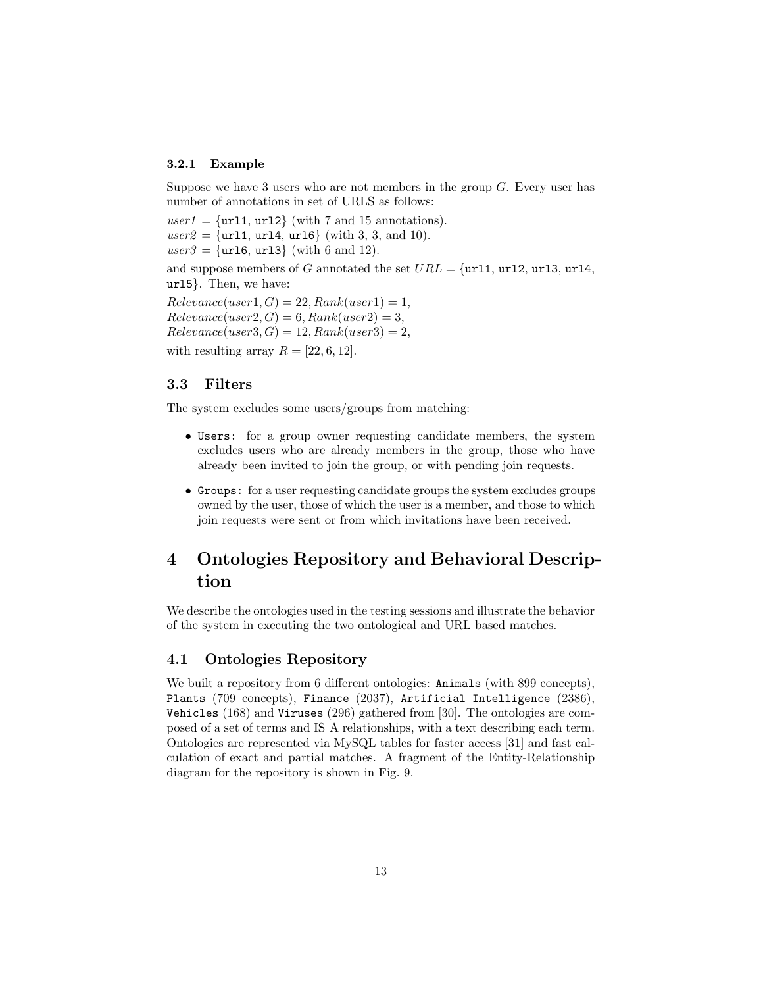### 3.2.1 Example

Suppose we have 3 users who are not members in the group  $G$ . Every user has number of annotations in set of URLS as follows:

 $user1 = \{ur11, ur12\}$  (with 7 and 15 annotations).  $user2 = {url1, url4, url6}$  (with 3, 3, and 10).  $user3 = \{ur16, ur13\}$  (with 6 and 12).

and suppose members of G annotated the set  $URL = \{url1, url2, url3, url4,$ url5}. Then, we have:

 $Relevance(user1, G) = 22, Rank(user1) = 1,$  $Relevance(user2, G) = 6, Rank(user2) = 3,$  $Relevance(user3, G) = 12, Rank(user3) = 2,$ 

with resulting array  $R = [22, 6, 12]$ .

### 3.3 Filters

The system excludes some users/groups from matching:

- Users: for a group owner requesting candidate members, the system excludes users who are already members in the group, those who have already been invited to join the group, or with pending join requests.
- Groups: for a user requesting candidate groups the system excludes groups owned by the user, those of which the user is a member, and those to which join requests were sent or from which invitations have been received.

## 4 Ontologies Repository and Behavioral Description

We describe the ontologies used in the testing sessions and illustrate the behavior of the system in executing the two ontological and URL based matches.

### 4.1 Ontologies Repository

We built a repository from 6 different ontologies: Animals (with 899 concepts), Plants (709 concepts), Finance (2037), Artificial Intelligence (2386), Vehicles (168) and Viruses (296) gathered from [30]. The ontologies are composed of a set of terms and IS A relationships, with a text describing each term. Ontologies are represented via MySQL tables for faster access [31] and fast calculation of exact and partial matches. A fragment of the Entity-Relationship diagram for the repository is shown in Fig. 9.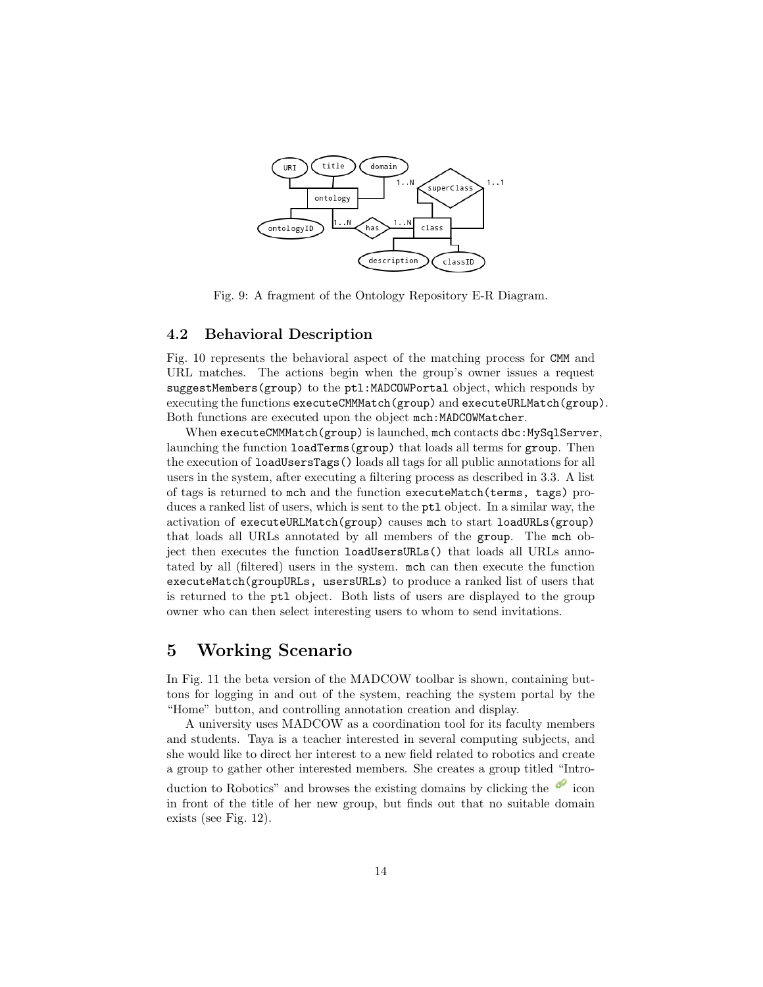

Fig. 9: A fragment of the Ontology Repository E-R Diagram.

### 4.2 Behavioral Description

Fig. 10 represents the behavioral aspect of the matching process for CMM and URL matches. The actions begin when the group's owner issues a request suggestMembers(group) to the ptl:MADCOWPortal object, which responds by executing the functions executeCMMMatch(group) and executeURLMatch(group). Both functions are executed upon the object mch:MADCOWMatcher.

When executeCMMMatch(group) is launched, mch contacts dbc:MySqlServer, launching the function loadTerms(group) that loads all terms for group. Then the execution of loadUsersTags() loads all tags for all public annotations for all users in the system, after executing a filtering process as described in 3.3. A list of tags is returned to mch and the function executeMatch(terms, tags) produces a ranked list of users, which is sent to the ptl object. In a similar way, the activation of executeURLMatch(group) causes mch to start loadURLs(group) that loads all URLs annotated by all members of the group. The mch object then executes the function loadUsersURLs() that loads all URLs annotated by all (filtered) users in the system. mch can then execute the function executeMatch(groupURLs, usersURLs) to produce a ranked list of users that is returned to the ptl object. Both lists of users are displayed to the group owner who can then select interesting users to whom to send invitations.

## 5 Working Scenario

In Fig. 11 the beta version of the MADCOW toolbar is shown, containing buttons for logging in and out of the system, reaching the system portal by the "Home" button, and controlling annotation creation and display.

A university uses MADCOW as a coordination tool for its faculty members and students. Taya is a teacher interested in several computing subjects, and she would like to direct her interest to a new field related to robotics and create a group to gather other interested members. She creates a group titled "Introduction to Robotics" and browses the existing domains by clicking the  $\bullet$  icon in front of the title of her new group, but finds out that no suitable domain exists (see Fig. 12).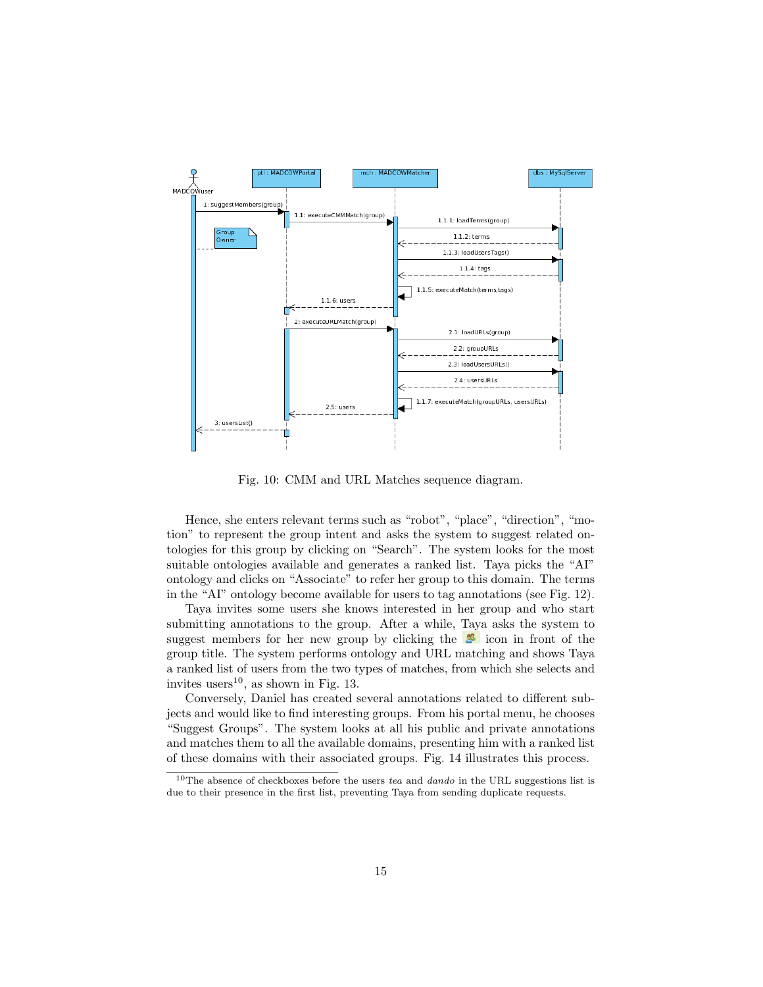

Fig. 10: CMM and URL Matches sequence diagram.

Hence, she enters relevant terms such as "robot", "place", "direction", "motion" to represent the group intent and asks the system to suggest related ontologies for this group by clicking on "Search". The system looks for the most suitable ontologies available and generates a ranked list. Taya picks the "AI" ontology and clicks on "Associate" to refer her group to this domain. The terms in the "AI" ontology become available for users to tag annotations (see Fig. 12).

Taya invites some users she knows interested in her group and who start submitting annotations to the group. After a while, Taya asks the system to suggest members for her new group by clicking the  $\mathcal{S}$  icon in front of the group title. The system performs ontology and URL matching and shows Taya a ranked list of users from the two types of matches, from which she selects and invites users<sup>10</sup>, as shown in Fig. 13.

Conversely, Daniel has created several annotations related to different subjects and would like to find interesting groups. From his portal menu, he chooses "Suggest Groups". The system looks at all his public and private annotations and matches them to all the available domains, presenting him with a ranked list of these domains with their associated groups. Fig. 14 illustrates this process.

<sup>&</sup>lt;sup>10</sup>The absence of checkboxes before the users tea and dando in the URL suggestions list is due to their presence in the first list, preventing Taya from sending duplicate requests.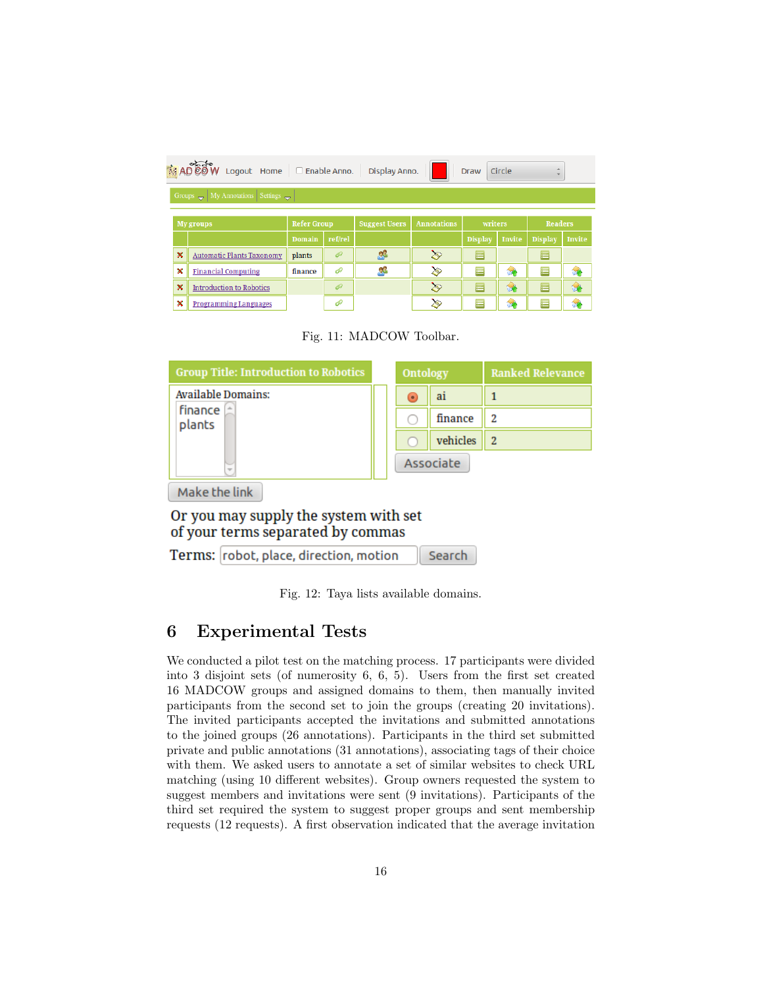|                           | <b>MADEOW</b><br>Logout Home Enable Anno.<br>Display Anno.<br>Circle<br>$\Delta$<br><b>Draw</b><br>$\overline{\phantom{a}}$ |                    |         |                      |                    |                |        |                |        |
|---------------------------|-----------------------------------------------------------------------------------------------------------------------------|--------------------|---------|----------------------|--------------------|----------------|--------|----------------|--------|
|                           | Groups $\leftarrow$ My Annotations Settings $\leftarrow$                                                                    |                    |         |                      |                    |                |        |                |        |
|                           | My groups                                                                                                                   | <b>Refer Group</b> |         | <b>Suggest Users</b> | <b>Annotations</b> | writers        |        | <b>Readers</b> |        |
|                           |                                                                                                                             |                    |         |                      |                    |                |        |                |        |
|                           |                                                                                                                             | <b>Domain</b>      | ref/rel |                      |                    | <b>Display</b> | Invite | <b>Display</b> | Invite |
| $\boldsymbol{\mathsf{x}}$ | <b>Automatic Plants Taxonomy</b>                                                                                            | plants             | P       | <u>од</u>            | ফ                  | ⋿              |        | e              |        |
| ×                         | <b>Financial Computing</b>                                                                                                  | finance            | P       | 68                   | $\sum_{i=1}^n$     | Ε              | 魚      | ≡              |        |
| $\boldsymbol{\mathsf{x}}$ | <b>Introduction to Robotics</b>                                                                                             |                    | P       |                      | ঠ                  | ⋿              | 分      | ⋿              | Ñ,     |

Fig. 11: MADCOW Toolbar.



### Or you may supply the system with set of your terms separated by commas

Terms: robot, place, direction, motion Search

Fig. 12: Taya lists available domains.

## 6 Experimental Tests

We conducted a pilot test on the matching process. 17 participants were divided into 3 disjoint sets (of numerosity 6, 6, 5). Users from the first set created 16 MADCOW groups and assigned domains to them, then manually invited participants from the second set to join the groups (creating 20 invitations). The invited participants accepted the invitations and submitted annotations to the joined groups (26 annotations). Participants in the third set submitted private and public annotations (31 annotations), associating tags of their choice with them. We asked users to annotate a set of similar websites to check URL matching (using 10 different websites). Group owners requested the system to suggest members and invitations were sent (9 invitations). Participants of the third set required the system to suggest proper groups and sent membership requests (12 requests). A first observation indicated that the average invitation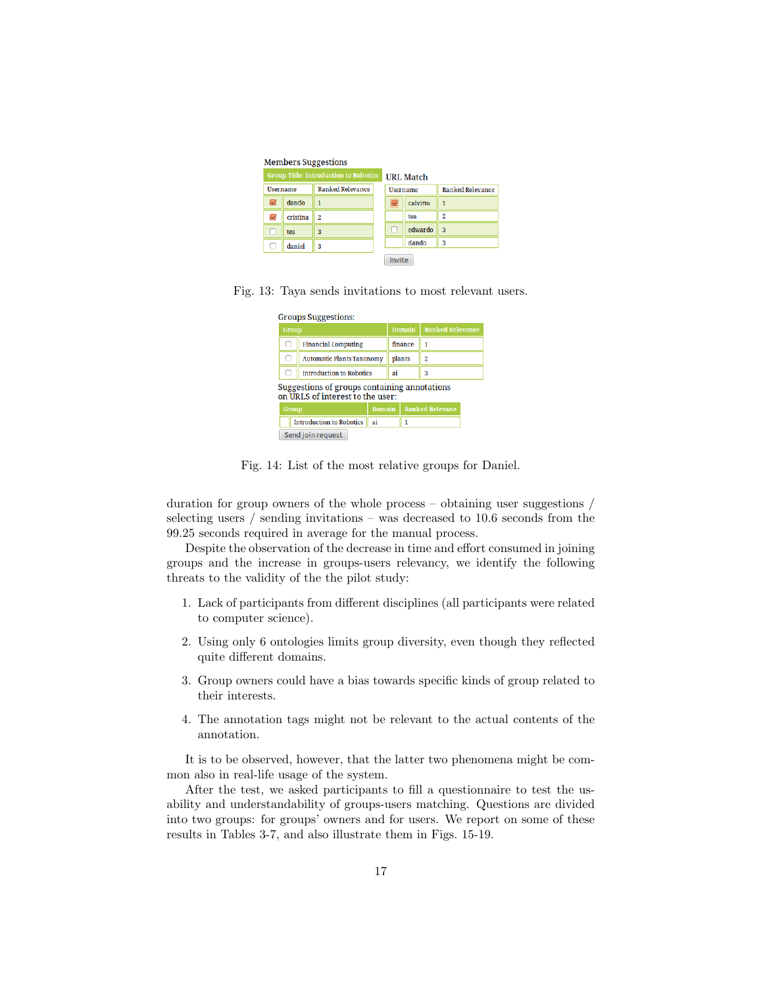| <b>Members Suggestions</b> |          |                                              |  |                         |                  |                         |
|----------------------------|----------|----------------------------------------------|--|-------------------------|------------------|-------------------------|
|                            |          | <b>Group Title: Introduction to Robotics</b> |  |                         | <b>URL Match</b> |                         |
|                            | Username | <b>Ranked Relevance</b>                      |  | <b>Username</b>         |                  | <b>Ranked Relevance</b> |
| $\blacktriangleright$      | dando    | $\mathbf{1}$                                 |  | $\overline{\mathsf{S}}$ | calvitto         |                         |
| $\blacktriangleright$      | cristina | 2                                            |  |                         | tea              | 2                       |
|                            | tea      | 3                                            |  |                         | edwardo          | 3                       |
|                            | daniel   | 3                                            |  |                         | dando            | 3                       |
|                            |          |                                              |  | Invite                  |                  |                         |

Fig. 13: Taya sends invitations to most relevant users.

|                                 | <b>Groups Suggestions:</b>                                                       |               |               |        |                         |  |
|---------------------------------|----------------------------------------------------------------------------------|---------------|---------------|--------|-------------------------|--|
| Group                           |                                                                                  |               | <b>Domain</b> |        | <b>Ranked Relevance</b> |  |
|                                 | <b>Financial Computing</b>                                                       |               | finance       |        | 1                       |  |
|                                 | <b>Automatic Plants Taxonomy</b>                                                 |               |               | plants | 2                       |  |
|                                 | <b>Introduction to Robotics</b>                                                  |               | ai            |        | 3                       |  |
|                                 | Suggestions of groups containing annotations<br>on URLS of interest to the user: |               |               |        |                         |  |
| <b>Group</b>                    |                                                                                  | <b>Domain</b> |               |        | <b>Ranked Relevane</b>  |  |
| <b>Introduction to Robotics</b> |                                                                                  | ai            |               |        |                         |  |
|                                 | Send join request                                                                |               |               |        |                         |  |

Fig. 14: List of the most relative groups for Daniel.

duration for group owners of the whole process – obtaining user suggestions / selecting users / sending invitations – was decreased to 10.6 seconds from the 99.25 seconds required in average for the manual process.

Despite the observation of the decrease in time and effort consumed in joining groups and the increase in groups-users relevancy, we identify the following threats to the validity of the the pilot study:

- 1. Lack of participants from different disciplines (all participants were related to computer science).
- 2. Using only 6 ontologies limits group diversity, even though they reflected quite different domains.
- 3. Group owners could have a bias towards specific kinds of group related to their interests.
- 4. The annotation tags might not be relevant to the actual contents of the annotation.

It is to be observed, however, that the latter two phenomena might be common also in real-life usage of the system.

After the test, we asked participants to fill a questionnaire to test the usability and understandability of groups-users matching. Questions are divided into two groups: for groups' owners and for users. We report on some of these results in Tables 3-7, and also illustrate them in Figs. 15-19.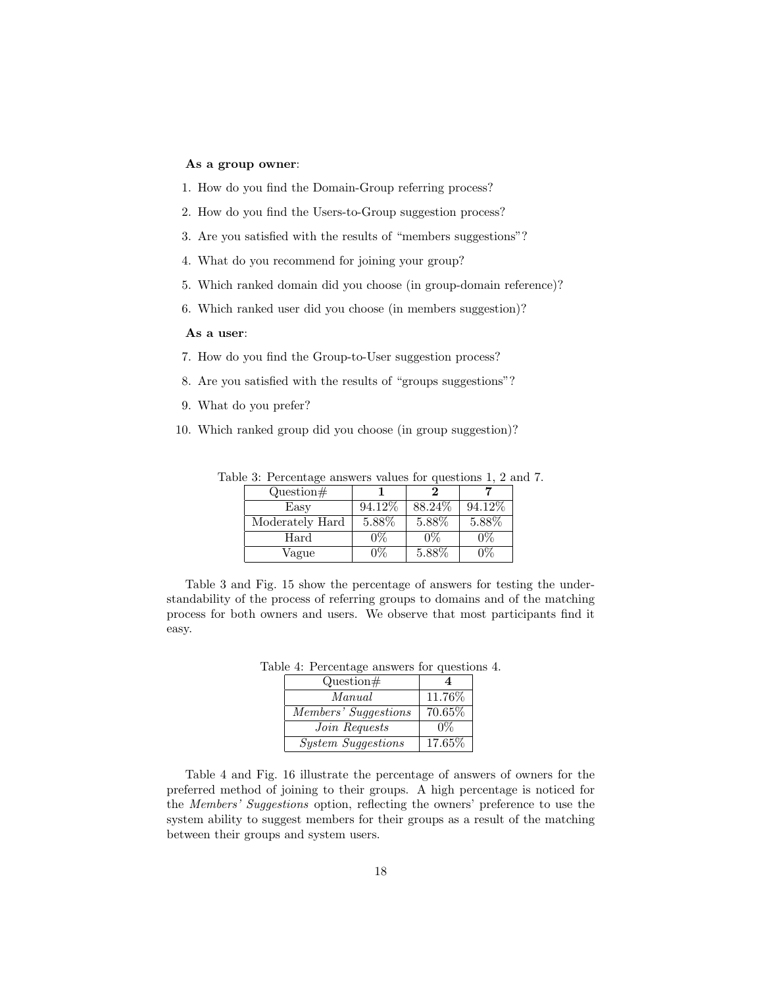### As a group owner:

- 1. How do you find the Domain-Group referring process?
- 2. How do you find the Users-to-Group suggestion process?
- 3. Are you satisfied with the results of "members suggestions"?
- 4. What do you recommend for joining your group?
- 5. Which ranked domain did you choose (in group-domain reference)?
- 6. Which ranked user did you choose (in members suggestion)?

### As a user:

- 7. How do you find the Group-to-User suggestion process?
- 8. Are you satisfied with the results of "groups suggestions"?
- 9. What do you prefer?
- 10. Which ranked group did you choose (in group suggestion)?

| Question#       |        | .,      |        |
|-----------------|--------|---------|--------|
| Easy            | 94.12% | 88.24\% | 94.12% |
| Moderately Hard | 5.88%  | 5.88%   | 5.88%  |
| Hard            | $0\%$  | $0\%$   | $0\%$  |
| Vague           | 0%     | 5.88%   | 0%     |

Table 3: Percentage answers values for questions 1, 2 and 7.

Table 3 and Fig. 15 show the percentage of answers for testing the understandability of the process of referring groups to domains and of the matching process for both owners and users. We observe that most participants find it easy.

| Question#                 |              |
|---------------------------|--------------|
| Manual                    | 11.76%       |
| Members' Suggestions      | 70.65%       |
| <i>Join Requests</i>      | $\mathbf{U}$ |
| <i>System Suggestions</i> | $17.65\%$    |

Table 4: Percentage answers for questions 4.

Table 4 and Fig. 16 illustrate the percentage of answers of owners for the preferred method of joining to their groups. A high percentage is noticed for the Members' Suggestions option, reflecting the owners' preference to use the system ability to suggest members for their groups as a result of the matching between their groups and system users.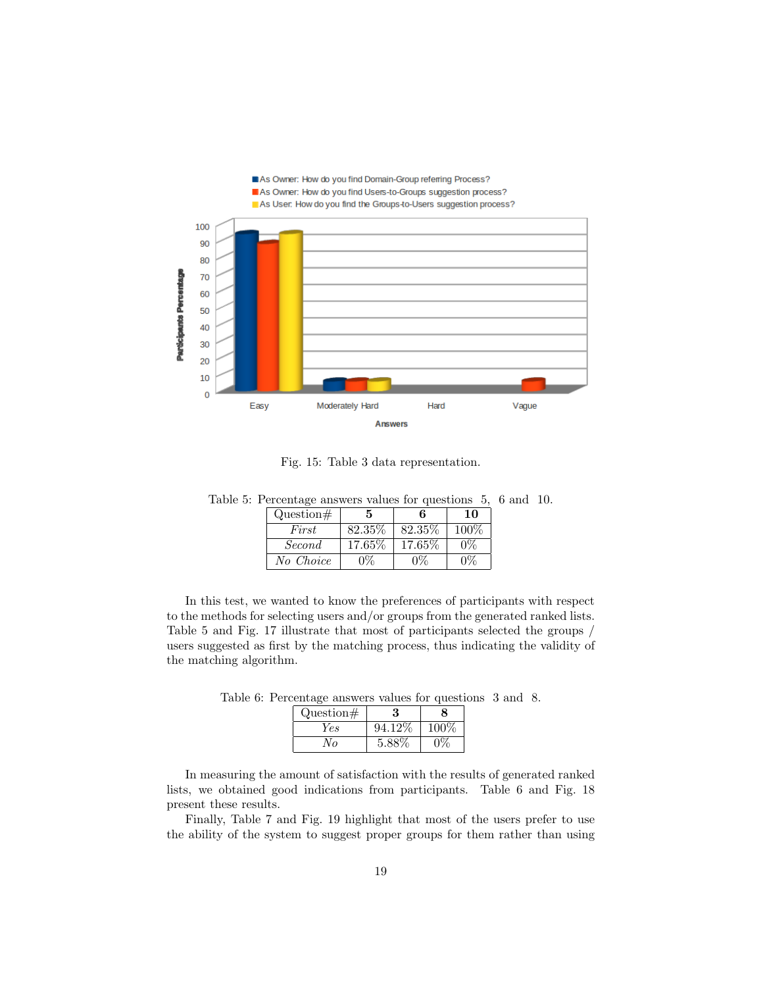

Fig. 15: Table 3 data representation.

| Question# |         | 6      | 10   |
|-----------|---------|--------|------|
| First     | 82.35\% | 82.35% | 100% |
| Second    | 17.65%  | 17.65% | 0%   |
| No Choice | ገሟ      |        |      |

Table 5: Percentage answers values for questions 5, 6 and 10.

In this test, we wanted to know the preferences of participants with respect to the methods for selecting users and/or groups from the generated ranked lists. Table 5 and Fig. 17 illustrate that most of participants selected the groups / users suggested as first by the matching process, thus indicating the validity of the matching algorithm.

Table 6: Percentage answers values for questions 3 and 8.

| Question# |          |         |
|-----------|----------|---------|
| Yes       | 94.12\%  | $100\%$ |
| V٥        | $5.88\%$ |         |

In measuring the amount of satisfaction with the results of generated ranked lists, we obtained good indications from participants. Table 6 and Fig. 18 present these results.

Finally, Table 7 and Fig. 19 highlight that most of the users prefer to use the ability of the system to suggest proper groups for them rather than using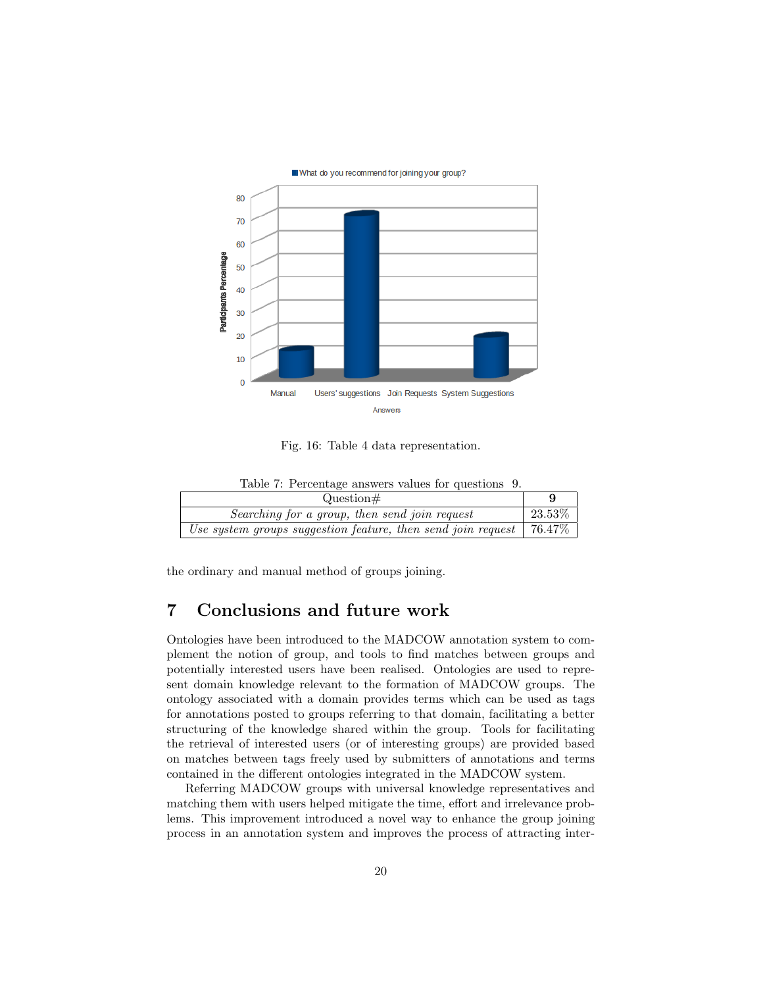

Fig. 16: Table 4 data representation.

Table 7: Percentage answers values for questions 9.

| Question#                                                    |            |
|--------------------------------------------------------------|------------|
| 23.53%<br>Searching for a group, then send join request      |            |
| Use system groups suggestion feature, then send join request | $ 76.47\%$ |

the ordinary and manual method of groups joining.

## 7 Conclusions and future work

Ontologies have been introduced to the MADCOW annotation system to complement the notion of group, and tools to find matches between groups and potentially interested users have been realised. Ontologies are used to represent domain knowledge relevant to the formation of MADCOW groups. The ontology associated with a domain provides terms which can be used as tags for annotations posted to groups referring to that domain, facilitating a better structuring of the knowledge shared within the group. Tools for facilitating the retrieval of interested users (or of interesting groups) are provided based on matches between tags freely used by submitters of annotations and terms contained in the different ontologies integrated in the MADCOW system.

Referring MADCOW groups with universal knowledge representatives and matching them with users helped mitigate the time, effort and irrelevance problems. This improvement introduced a novel way to enhance the group joining process in an annotation system and improves the process of attracting inter-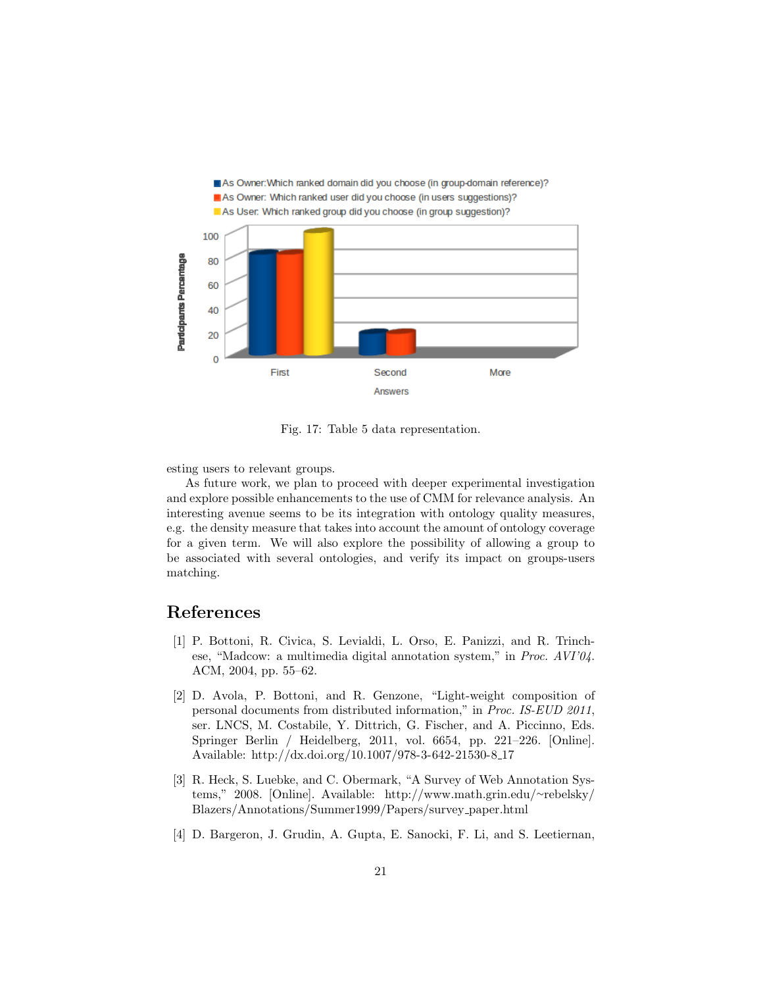

Fig. 17: Table 5 data representation.

esting users to relevant groups.

As future work, we plan to proceed with deeper experimental investigation and explore possible enhancements to the use of CMM for relevance analysis. An interesting avenue seems to be its integration with ontology quality measures, e.g. the density measure that takes into account the amount of ontology coverage for a given term. We will also explore the possibility of allowing a group to be associated with several ontologies, and verify its impact on groups-users matching.

## References

- [1] P. Bottoni, R. Civica, S. Levialdi, L. Orso, E. Panizzi, and R. Trinchese, "Madcow: a multimedia digital annotation system," in Proc. AVI'04. ACM, 2004, pp. 55–62.
- [2] D. Avola, P. Bottoni, and R. Genzone, "Light-weight composition of personal documents from distributed information," in Proc. IS-EUD 2011, ser. LNCS, M. Costabile, Y. Dittrich, G. Fischer, and A. Piccinno, Eds. Springer Berlin / Heidelberg, 2011, vol. 6654, pp. 221–226. [Online]. Available: http://dx.doi.org/10.1007/978-3-642-21530-8 17
- [3] R. Heck, S. Luebke, and C. Obermark, "A Survey of Web Annotation Systems," 2008. [Online]. Available: http://www.math.grin.edu/∼rebelsky/ Blazers/Annotations/Summer1999/Papers/survey paper.html
- [4] D. Bargeron, J. Grudin, A. Gupta, E. Sanocki, F. Li, and S. Leetiernan,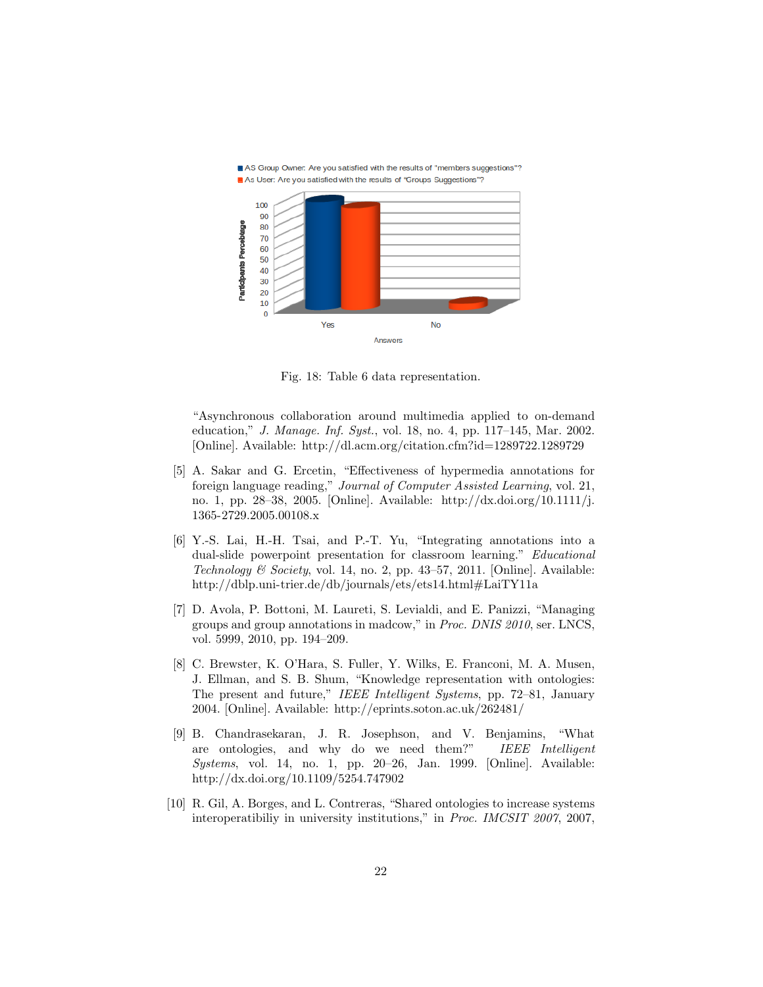

Fig. 18: Table 6 data representation.

"Asynchronous collaboration around multimedia applied to on-demand education," J. Manage. Inf. Syst., vol. 18, no. 4, pp. 117–145, Mar. 2002. [Online]. Available: http://dl.acm.org/citation.cfm?id=1289722.1289729

- [5] A. Sakar and G. Ercetin, "Effectiveness of hypermedia annotations for foreign language reading," Journal of Computer Assisted Learning, vol. 21, no. 1, pp. 28–38, 2005. [Online]. Available: http://dx.doi.org/10.1111/j. 1365-2729.2005.00108.x
- [6] Y.-S. Lai, H.-H. Tsai, and P.-T. Yu, "Integrating annotations into a dual-slide powerpoint presentation for classroom learning." Educational Technology & Society, vol. 14, no. 2, pp. 43–57, 2011. [Online]. Available: http://dblp.uni-trier.de/db/journals/ets/ets14.html#LaiTY11a
- [7] D. Avola, P. Bottoni, M. Laureti, S. Levialdi, and E. Panizzi, "Managing groups and group annotations in madcow," in Proc. DNIS 2010, ser. LNCS, vol. 5999, 2010, pp. 194–209.
- [8] C. Brewster, K. O'Hara, S. Fuller, Y. Wilks, E. Franconi, M. A. Musen, J. Ellman, and S. B. Shum, "Knowledge representation with ontologies: The present and future," IEEE Intelligent Systems, pp. 72–81, January 2004. [Online]. Available: http://eprints.soton.ac.uk/262481/
- [9] B. Chandrasekaran, J. R. Josephson, and V. Benjamins, "What are ontologies, and why do we need them?" IEEE Intelligent Systems, vol. 14, no. 1, pp. 20–26, Jan. 1999. [Online]. Available: http://dx.doi.org/10.1109/5254.747902
- [10] R. Gil, A. Borges, and L. Contreras, "Shared ontologies to increase systems interoperatibiliy in university institutions," in Proc. IMCSIT 2007, 2007,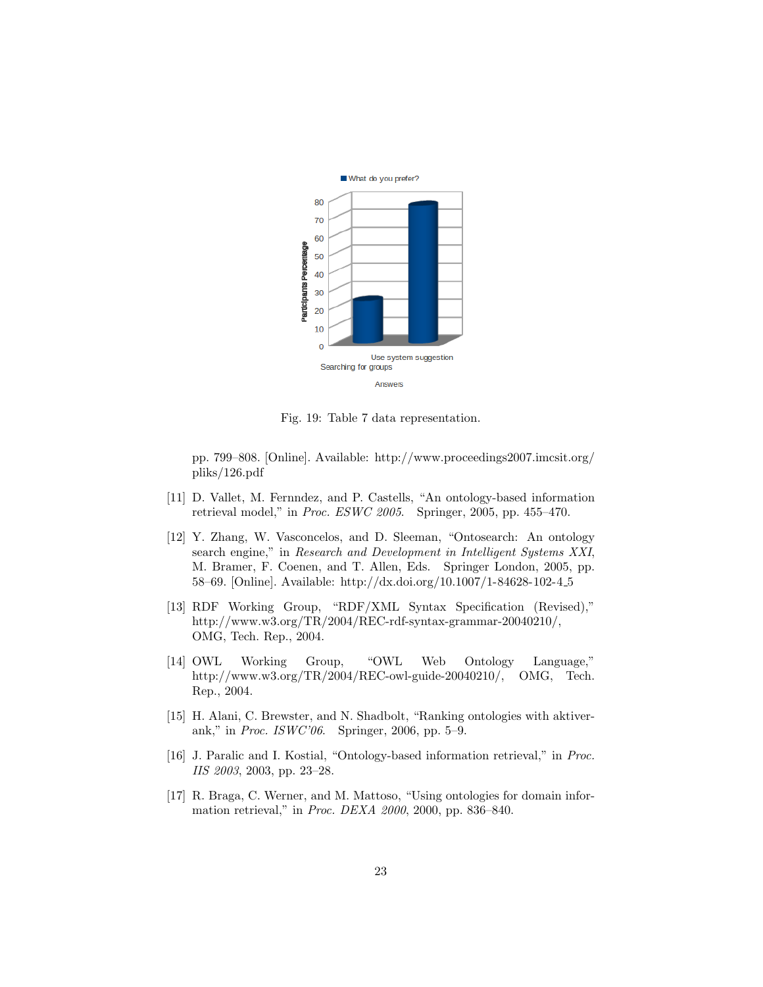

Fig. 19: Table 7 data representation.

pp. 799–808. [Online]. Available: http://www.proceedings2007.imcsit.org/ pliks/126.pdf

- [11] D. Vallet, M. Fernndez, and P. Castells, "An ontology-based information retrieval model," in Proc. ESWC 2005. Springer, 2005, pp. 455–470.
- [12] Y. Zhang, W. Vasconcelos, and D. Sleeman, "Ontosearch: An ontology search engine," in Research and Development in Intelligent Systems XXI, M. Bramer, F. Coenen, and T. Allen, Eds. Springer London, 2005, pp. 58–69. [Online]. Available: http://dx.doi.org/10.1007/1-84628-102-4 5
- [13] RDF Working Group, "RDF/XML Syntax Specification (Revised)," http://www.w3.org/TR/2004/REC-rdf-syntax-grammar-20040210/, OMG, Tech. Rep., 2004.
- [14] OWL Working Group, "OWL Web Ontology Language," http://www.w3.org/TR/2004/REC-owl-guide-20040210/, OMG, Tech. Rep., 2004.
- [15] H. Alani, C. Brewster, and N. Shadbolt, "Ranking ontologies with aktiverank," in Proc. ISWC'06. Springer, 2006, pp. 5–9.
- [16] J. Paralic and I. Kostial, "Ontology-based information retrieval," in Proc. IIS 2003, 2003, pp. 23–28.
- [17] R. Braga, C. Werner, and M. Mattoso, "Using ontologies for domain information retrieval," in Proc. DEXA 2000, 2000, pp. 836–840.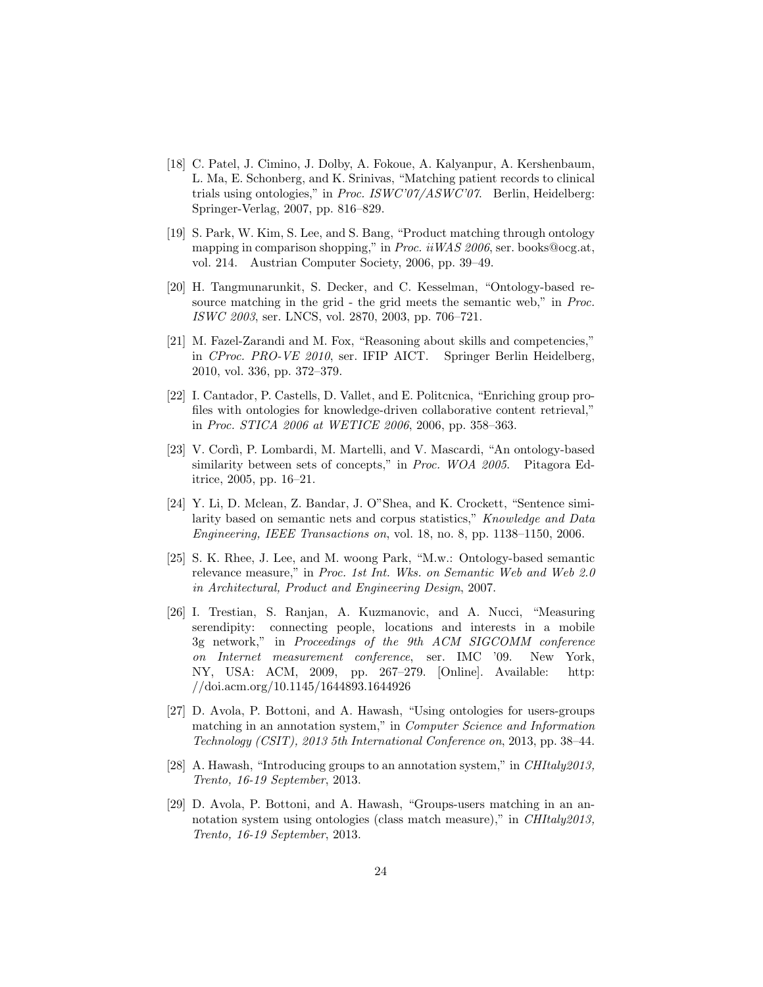- [18] C. Patel, J. Cimino, J. Dolby, A. Fokoue, A. Kalyanpur, A. Kershenbaum, L. Ma, E. Schonberg, and K. Srinivas, "Matching patient records to clinical trials using ontologies," in Proc. ISWC'07/ASWC'07. Berlin, Heidelberg: Springer-Verlag, 2007, pp. 816–829.
- [19] S. Park, W. Kim, S. Lee, and S. Bang, "Product matching through ontology mapping in comparison shopping," in *Proc. iiWAS 2006*, ser. books@ocg.at, vol. 214. Austrian Computer Society, 2006, pp. 39–49.
- [20] H. Tangmunarunkit, S. Decker, and C. Kesselman, "Ontology-based resource matching in the grid - the grid meets the semantic web," in Proc. ISWC 2003, ser. LNCS, vol. 2870, 2003, pp. 706–721.
- [21] M. Fazel-Zarandi and M. Fox, "Reasoning about skills and competencies," in CProc. PRO-VE 2010, ser. IFIP AICT. Springer Berlin Heidelberg, 2010, vol. 336, pp. 372–379.
- [22] I. Cantador, P. Castells, D. Vallet, and E. Politcnica, "Enriching group profiles with ontologies for knowledge-driven collaborative content retrieval," in Proc. STICA 2006 at WETICE 2006, 2006, pp. 358–363.
- [23] V. Cord`ı, P. Lombardi, M. Martelli, and V. Mascardi, "An ontology-based similarity between sets of concepts," in Proc. WOA 2005. Pitagora Editrice, 2005, pp. 16–21.
- [24] Y. Li, D. Mclean, Z. Bandar, J. O"Shea, and K. Crockett, "Sentence similarity based on semantic nets and corpus statistics," Knowledge and Data Engineering, IEEE Transactions on, vol. 18, no. 8, pp. 1138–1150, 2006.
- [25] S. K. Rhee, J. Lee, and M. woong Park, "M.w.: Ontology-based semantic relevance measure," in Proc. 1st Int. Wks. on Semantic Web and Web 2.0 in Architectural, Product and Engineering Design, 2007.
- [26] I. Trestian, S. Ranjan, A. Kuzmanovic, and A. Nucci, "Measuring serendipity: connecting people, locations and interests in a mobile 3g network," in Proceedings of the 9th ACM SIGCOMM conference on Internet measurement conference, ser. IMC '09. New York, NY, USA: ACM, 2009, pp. 267–279. [Online]. Available: http: //doi.acm.org/10.1145/1644893.1644926
- [27] D. Avola, P. Bottoni, and A. Hawash, "Using ontologies for users-groups matching in an annotation system," in Computer Science and Information Technology (CSIT), 2013 5th International Conference on, 2013, pp. 38–44.
- [28] A. Hawash, "Introducing groups to an annotation system," in CHItaly2013, Trento, 16-19 September, 2013.
- [29] D. Avola, P. Bottoni, and A. Hawash, "Groups-users matching in an annotation system using ontologies (class match measure)," in CHItaly2013, Trento, 16-19 September, 2013.